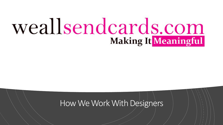# weallsendcards.com **Making It Meaningful**

## How We Work With Designers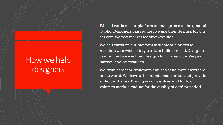# How we help designers

- We sell cards on our platform at retail prices to the general public. Designers can request we use their designs for this service.We pay market leading royalties.
- We sell cards on our platform at wholesale prices to resellers who wish to buy cards in bulk to resell.Designers can request we use their designs for this service.We pay market leading royalties.
- We print cards for designers and can send them anywhere in the world.We have a 1 card minimum order, and provide a choice of sizes.Pricing is competitive,and for low volumes market leading for the quality of card provided.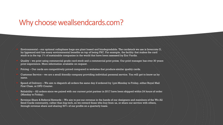## Why choose weallsendcards.com?

- � Environmental our optional cellophane bags are plant based and biodegradable. The cardstock we use is Invercote G, by Iggesund and has many environmental benefits on top of being FSC. For example, the facility that makes the card stock is in the top  $1\%$  of sustainable companies in the world that have been assessed by Eco Vardis.
- � Quality we print using commercial grade card stock and a commercial print press. Our print manager has over 30 years print experience. More information available on request.
- � Pricing Our cards are competitively priced compared to websites that produce similar quality cards.
- � Customer Service we are a small friendly company providing individual personal service. You will get to know us by name.
- � Speed of Delivery We aim to dispatch all orders the same day if ordered by 1pm Monday to Friday, either Royal Mail First Class, or DPD Courier.
- � Reliability All orders since we paired with our current print partner in 2017 have been shipped within 24 hours of order (Monday to Friday).
- � Revenue Share & Referral Rewards We aim to put our revenue in the hands of our designers and members of the We All Send Cards community, rather than big-tech, so we reward those who buy from us, or share our service with others, through revenue share and sharing 50% of our profits on a quarterly basis.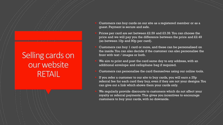# Selling cards on our website RETAIL

- � Customers can buy cards on our site as a registered member or as a guest. Payment is secure and safe.
- � Prices per card are set between £2.59 and £3.39.You can choose the price and we will pay you the difference between the price and £2.49 (so between 10p and 90p per card).
- Customers can buy 1 card or more, and these can be personalised on the inside.You can also decide if the customer can also personalise the front with text / images or both.
- We aim to print and post the card same day to any address, with an additional envelope and cellophane bag if required.
- Customers can personalise the card themselves using our online tools.
- If you refer a customer to our site to buy cards, you will earn a 25p referral fee for each card they buy, even if they are not your designs.You can give out a link which shows them your cards only.
- We regularly provide discounts to customers which do not affect your royalty or referral payments. This gives you incentives to encourage customers to buy your cards, with no downside.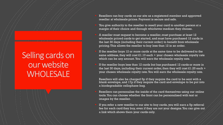# Selling cards on our website **WHOLESALE**

- Resellers can buy cards on our site as a registered member and approved reseller at wholesale prices. Payment is secure and safe.
- You give authority to the reseller to resell your card to another person at a margin of their choice and through whichever medium they choose.
- � A reseller must request to become a reseller,must purchase at least 12 wholesale priced cards to get started, and must have purchased 12 cards in the last 30 days (including their current order) to benefit from wholesale pricing.This allows the reseller to buy less than 12 in an order.
- If the reseller buys 12 or more cards at the same time to be delivered to the same address, they will cost  $\text{\pounds}1.10$  each + your chosen wholesale royalty rate which can be any amount.You will earn the wholesale royalty rate.
- If the reseller buys less than 12 cards but has purchased 12 cards or more in the last 30 days, including their current order, then they will cost £1.25 each + your chosen wholesale royalty rate.You will earn the wholesale royalty rate.

Resellers will also be charged 5p if they require the card to be sent with a blank envelope, and 17p if they require the card and envelope to be put into a biodegradable cellophane bag.

- Resellers can personalise the inside of the card themselves using our online tools.You can choose whether the front can be personalised with text or images by the reseller.
- � If you refer a new reseller to our site to buy cards, you will earn a 5p referral fee for each card they buy, even if they are not your designs.You can give out a link which shows them your cards only.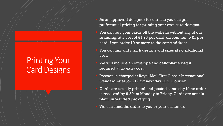# Printing Your **Card Designs**

- As an approved designer for our site you can get preferential pricing for printing your own card designs.
- You can buy your cards off the website without any of our branding, at a cost of £1.25 per card, discounted to £1 per card if you order 10 or more to the same address.
- You can mix and match designs and sizes at no additional cost.
- We will include an envelope and cellophane bag if required at no extra cost.
- � Postage is charged at Royal Mail First Class / International Standard rates, or £12 for next day DPD Courier.
- � Cards are usually printed and posted same day if the order is received by 9.30am Monday to Friday. Cards are sent in plain unbranded packaging.
- We can send the order to you or your customer.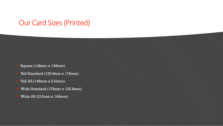#### Our Card Sizes (Printed)

- � Square (148mm x 148mm)
- � Tall Standard (125.8mm x 175mm)
- � Tall A5 (148mm x 210mm)
- � Wide Standard (175mm x 125.8mm)
- � Wide A5 (210mm x 148mm)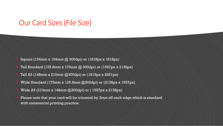#### Our Card Sizes(File Size)

- � Square (154mm x 154mm @ 300dpi) or (1818px x 1818px)
- � Tall Standard (125.8mm x 175mm @ 300dpi) or (1557px x 2138px)
- � Tall A5 (148mm x 210mm @300dpi) or (1819px x 2551px)
- � Wide Standard (175mm x 125.8mm @300dpi) or (2138px x 1557px)
- � Wide A5 (210mm x 148mm @300dpi) or ( 1557px x 2138px)
- � Please note that your card will be trimmed by 3mm off each edge which is standard with commercial printing practice.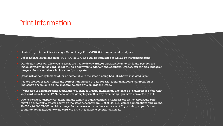## Print Information

- Cards are printed in CMYK using a Canon ImagePress VP10000C commercial print press.
- Cards need to be uploaded in (RGB) JPG or PNG and will be converted to CMYK by the print machine.
- Our design tools will allow you to resize the image downwards, or upwards by up to  $10\%$ , and position the image correctly on the card face.It will also allow you to add text and additional images.You can also upload an image at the correct size,which is already complete.
- Cards will generally look brighter on screen due to the screen being backlit, whereas the card is not.
- Images are better taken under the correct lighting and at a larger size, rather than being manipulated in Photoshop or similar to fix the shadows, colours or to enlarge the image.
- If your card is designed using a graphics tool such as Illustrator, Indesign, Photoshop etc, then please note what your card looks like in CMYK because it is going to print this way,even though you have converted to RGB.
- Due to monitor / display variations and the ability to adjust contrast, brightness etc on the screen, the print might be different to what is shown on the screen. As there are 15,000,000 RGB colour combinations and around 10,000 – 20,000 CMYK combinations,colour conversion is unlikely to be exact.Try printing on your home printer to get an idea of how the card will print in regards to colour / darkness.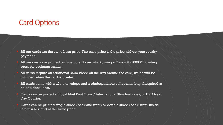## **Card Options**

- All our cards are the same base price. The base price is the price without your royalty payment.
- All our cards are printed on Invercote G card stock, using a Canon VP10000C Printing press for optimum quality.
- � All cards require an additional 3mm bleed all the way around the card, which will be trimmed when the card is printed.
- � All cards come with a white envelope and a biodegradable cellophane bag if required at no additional cost.
- � Cards can be posted at Royal Mail First Class / International Standard rates, or DPD Next Day Courier.
- � Cards can be printed single sided (back and front) or double sided (back, front, inside left, inside right) at the same price.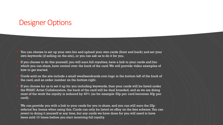## Designer Options

You can choose to set up your own bio and upload your own cards (front and back) and set your own keywords (if selling on the site), or you can ask us to do it for you.

� If you choose to do this yourself, you will earn full royalties, have a link to your cards and bio which you can share, have control over the back of the card.We will provide video examples of how to get started.

Cards sold on the site include a small weallsendcards.com logo in the bottom left of the back of the card, and an order number on the bottom right.

If you choose for us to set it up for you including keywords, then your cards will be listed under the WASC Artist Collaboration, the back of the card will be dual branded, and as we are doing most of the work the royalty is reduced by 40% (so for example 50p per card becomes 30p per card).

We can provide you with a link to your cards for you to share, and you can still earn the 25p referral fee bonus when using this. Cards can only be listed on eBay on the free scheme.You can revert to doing it yourself at any time, but any cards we have done for you will need to have been sold 10 times before you start receiving full royalty.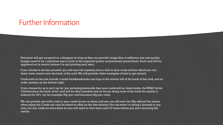## Further Information

- � Everyone will get accepted as a designer as long as they can provide image files at sufficient size and quality. Images need to be a minimum size to print at the required quality (as previously prescribed). Each card will be approved on its merits (unless it is you printing your own).
- If you choose to do this yourself, you will earn full royalties, have a link to your cards and bio which you can share, have control over the back of the card.We will provide video examples of how to get started.
- Cards sold on the site include a small weallsendcards.com logo in the bottom left of the back of the card, and an order number on the bottom right.
- If you choose for us to set it up for you including keywords, then your cards will be listed under the WASC Artist Collaboration, the back of the card will be dual branded, and as we are doing most of the work the royalty is reduced by 40% (so for example 50p per card becomes 30p per card).

We can provide you with a link to your cards for you to share, and you can still earn the 25p referral fee bonus when using this.Cards can only be listed on eBay on the free scheme.You can revert to doing it yourself at any time, but any cards we have done for you will need to have been sold 10 times before you start receiving full royalty.